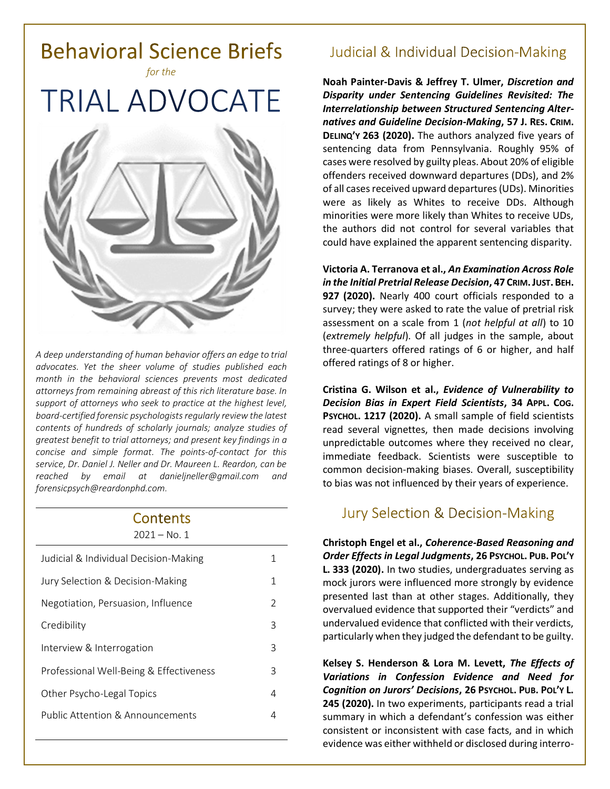

*A deep understanding of human behavior offers an edge to trial advocates. Yet the sheer volume of studies published each month in the behavioral sciences prevents most dedicated attorneys from remaining abreast of this rich literature base. In support of attorneys who seek to practice at the highest level, board-certified forensic psychologists regularly review the latest contents of hundreds of scholarly journals; analyze studies of greatest benefit to trial attorneys; and present key findings in a concise and simple format. The points-of-contact for this service, Dr. Daniel J. Neller and Dr. Maureen L. Reardon, can be reached by email at [danieljneller@gmail.com](mailto:danieljneller@gmail.com) and [forensicpsych@reardonphd.com.](mailto:forensicpsych@reardonphd.com)* 

#### Contents  $2021 - N_0$  1

| Judicial & Individual Decision-Making   | 1 |
|-----------------------------------------|---|
| Jury Selection & Decision-Making        | 1 |
| Negotiation, Persuasion, Influence      | 2 |
| Credibility                             | 3 |
| Interview & Interrogation               | 3 |
| Professional Well-Being & Effectiveness | 3 |
| Other Psycho-Legal Topics               | 4 |
| Public Attention & Announcements        | 4 |
|                                         |   |

# **Judicial & Individual Decision-Making**

**Noah Painter-Davis & Jeffrey T. Ulmer,** *Discretion and Disparity under Sentencing Guidelines Revisited: The Interrelationship between Structured Sentencing Alternatives and Guideline Decision-Making***, 57 J. RES. CRIM. DELINQ'Y 263 (2020).** The authors analyzed five years of sentencing data from Pennsylvania. Roughly 95% of cases were resolved by guilty pleas. About 20% of eligible offenders received downward departures (DDs), and 2% of all cases received upward departures(UDs). Minorities were as likely as Whites to receive DDs. Although minorities were more likely than Whites to receive UDs, the authors did not control for several variables that could have explained the apparent sentencing disparity.

**Victoria A. Terranova et al.,** *An Examination Across Role in the Initial Pretrial Release Decision***, 47 CRIM.JUST. BEH. 927 (2020).** Nearly 400 court officials responded to a survey; they were asked to rate the value of pretrial risk assessment on a scale from 1 (*not helpful at all*) to 10 (*extremely helpful*). Of all judges in the sample, about three-quarters offered ratings of 6 or higher, and half offered ratings of 8 or higher.

**Cristina G. Wilson et al.,** *Evidence of Vulnerability to Decision Bias in Expert Field Scientists***, 34 APPL. COG. PSYCHOL. 1217 (2020).** A small sample of field scientists read several vignettes, then made decisions involving unpredictable outcomes where they received no clear, immediate feedback. Scientists were susceptible to common decision-making biases. Overall, susceptibility to bias was not influenced by their years of experience.

### **Jury Selection & Decision-Making**

**Christoph Engel et al.,** *Coherence-Based Reasoning and Order Effects in Legal Judgments***, 26 PSYCHOL. PUB. POL'Y L. 333 (2020).** In two studies, undergraduates serving as mock jurors were influenced more strongly by evidence presented last than at other stages. Additionally, they overvalued evidence that supported their "verdicts" and undervalued evidence that conflicted with their verdicts, particularly when they judged the defendant to be guilty.

**Kelsey S. Henderson & Lora M. Levett,** *The Effects of Variations in Confession Evidence and Need for Cognition on Jurors' Decisions***, 26 PSYCHOL. PUB. POL'Y L. 245 (2020).** In two experiments, participants read a trial summary in which a defendant's confession was either consistent or inconsistent with case facts, and in which evidence was either withheld or disclosed during interro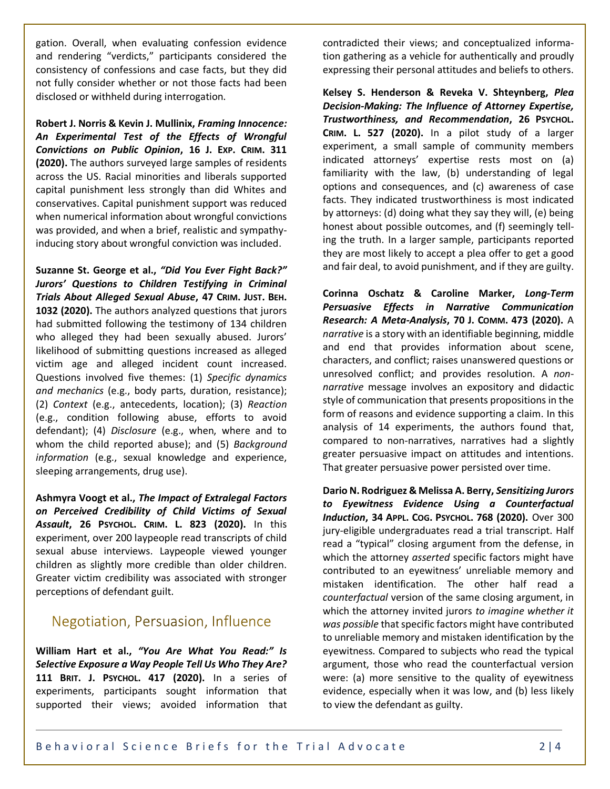gation. Overall, when evaluating confession evidence and rendering "verdicts," participants considered the consistency of confessions and case facts, but they did not fully consider whether or not those facts had been disclosed or withheld during interrogation.

**Robert J. Norris & Kevin J. Mullinix,** *Framing Innocence: An Experimental Test of the Effects of Wrongful Convictions on Public Opinion***, 16 J. EXP. CRIM. 311 (2020).** The authors surveyed large samples of residents across the US. Racial minorities and liberals supported capital punishment less strongly than did Whites and conservatives. Capital punishment support was reduced when numerical information about wrongful convictions was provided, and when a brief, realistic and sympathyinducing story about wrongful conviction was included.

**Suzanne St. George et al.,** *"Did You Ever Fight Back?" Jurors' Questions to Children Testifying in Criminal Trials About Alleged Sexual Abuse***, 47 CRIM. JUST. BEH. 1032 (2020).** The authors analyzed questions that jurors had submitted following the testimony of 134 children who alleged they had been sexually abused. Jurors' likelihood of submitting questions increased as alleged victim age and alleged incident count increased. Questions involved five themes: (1) *Specific dynamics and mechanics* (e.g., body parts, duration, resistance); (2) *Context* (e.g., antecedents, location); (3) *Reaction* (e.g., condition following abuse, efforts to avoid defendant); (4) *Disclosure* (e.g., when, where and to whom the child reported abuse); and (5) *Background information* (e.g., sexual knowledge and experience, sleeping arrangements, drug use).

**Ashmyra Voogt et al.,** *The Impact of Extralegal Factors on Perceived Credibility of Child Victims of Sexual Assault***, 26 PSYCHOL. CRIM. L. 823 (2020).** In this experiment, over 200 laypeople read transcripts of child sexual abuse interviews. Laypeople viewed younger children as slightly more credible than older children. Greater victim credibility was associated with stronger perceptions of defendant guilt.

## Negotiation, Persuasion, Influence

**William Hart et al.,** *"You Are What You Read:" Is Selective Exposure a Way People Tell Us Who They Are?* **111 BRIT. J. PSYCHOL. 417 (2020).** In a series of experiments, participants sought information that supported their views; avoided information that contradicted their views; and conceptualized information gathering as a vehicle for authentically and proudly expressing their personal attitudes and beliefs to others.

**Kelsey S. Henderson & Reveka V. Shteynberg,** *Plea Decision-Making: The Influence of Attorney Expertise, Trustworthiness, and Recommendation***, 26 PSYCHOL. CRIM. L. 527 (2020).** In a pilot study of a larger experiment, a small sample of community members indicated attorneys' expertise rests most on (a) familiarity with the law, (b) understanding of legal options and consequences, and (c) awareness of case facts. They indicated trustworthiness is most indicated by attorneys: (d) doing what they say they will, (e) being honest about possible outcomes, and (f) seemingly telling the truth. In a larger sample, participants reported they are most likely to accept a plea offer to get a good and fair deal, to avoid punishment, and if they are guilty.

**Corinna Oschatz & Caroline Marker,** *Long-Term Persuasive Effects in Narrative Communication Research: A Meta-Analysis***, 70 J. COMM. 473 (2020).** A *narrative* is a story with an identifiable beginning, middle and end that provides information about scene, characters, and conflict; raises unanswered questions or unresolved conflict; and provides resolution. A *nonnarrative* message involves an expository and didactic style of communication that presents propositions in the form of reasons and evidence supporting a claim. In this analysis of 14 experiments, the authors found that, compared to non-narratives, narratives had a slightly greater persuasive impact on attitudes and intentions. That greater persuasive power persisted over time.

**Dario N. Rodriguez & Melissa A. Berry,** *Sensitizing Jurors to Eyewitness Evidence Using a Counterfactual Induction***, 34 APPL. COG. PSYCHOL. 768 (2020).** Over 300 jury-eligible undergraduates read a trial transcript. Half read a "typical" closing argument from the defense, in which the attorney *asserted* specific factors might have contributed to an eyewitness' unreliable memory and mistaken identification. The other half read a *counterfactual* version of the same closing argument, in which the attorney invited jurors *to imagine whether it was possible* that specific factors might have contributed to unreliable memory and mistaken identification by the eyewitness. Compared to subjects who read the typical argument, those who read the counterfactual version were: (a) more sensitive to the quality of eyewitness evidence, especially when it was low, and (b) less likely to view the defendant as guilty.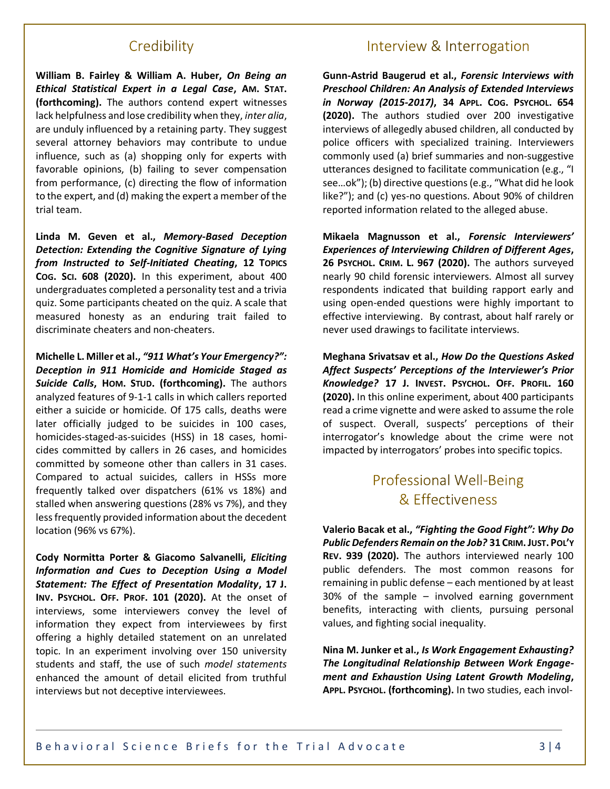#### Credibility

**William B. Fairley & William A. Huber,** *On Being an Ethical Statistical Expert in a Legal Case***, AM. STAT. (forthcoming).** The authors contend expert witnesses lack helpfulness and lose credibility when they, *inter alia*, are unduly influenced by a retaining party. They suggest several attorney behaviors may contribute to undue influence, such as (a) shopping only for experts with favorable opinions, (b) failing to sever compensation from performance, (c) directing the flow of information to the expert, and (d) making the expert a member of the trial team.

**Linda M. Geven et al.,** *Memory-Based Deception Detection: Extending the Cognitive Signature of Lying from Instructed to Self-Initiated Cheating***, 12 TOPICS COG. SCI. 608 (2020).** In this experiment, about 400 undergraduates completed a personality test and a trivia quiz. Some participants cheated on the quiz. A scale that measured honesty as an enduring trait failed to discriminate cheaters and non-cheaters.

**Michelle L. Miller et al.,** *"911 What's Your Emergency?": Deception in 911 Homicide and Homicide Staged as Suicide Calls***, HOM. STUD. (forthcoming).** The authors analyzed features of 9-1-1 calls in which callers reported either a suicide or homicide. Of 175 calls, deaths were later officially judged to be suicides in 100 cases, homicides-staged-as-suicides (HSS) in 18 cases, homicides committed by callers in 26 cases, and homicides committed by someone other than callers in 31 cases. Compared to actual suicides, callers in HSSs more frequently talked over dispatchers (61% vs 18%) and stalled when answering questions (28% vs 7%), and they less frequently provided information about the decedent location (96% vs 67%).

**Cody Normitta Porter & Giacomo Salvanelli,** *Eliciting Information and Cues to Deception Using a Model Statement: The Effect of Presentation Modality***, 17 J. INV. PSYCHOL. OFF. PROF. 101 (2020).** At the onset of interviews, some interviewers convey the level of information they expect from interviewees by first offering a highly detailed statement on an unrelated topic. In an experiment involving over 150 university students and staff, the use of such *model statements* enhanced the amount of detail elicited from truthful interviews but not deceptive interviewees.

### Interview & Interrogation

**Gunn-Astrid Baugerud et al.,** *Forensic Interviews with Preschool Children: An Analysis of Extended Interviews in Norway (2015-2017)***, 34 APPL. COG. PSYCHOL. 654 (2020).** The authors studied over 200 investigative interviews of allegedly abused children, all conducted by police officers with specialized training. Interviewers commonly used (a) brief summaries and non-suggestive utterances designed to facilitate communication (e.g., "I see…ok"); (b) directive questions(e.g., "What did he look like?"); and (c) yes-no questions. About 90% of children reported information related to the alleged abuse.

**Mikaela Magnusson et al.,** *Forensic Interviewers' Experiences of Interviewing Children of Different Ages***, 26 PSYCHOL. CRIM. L. 967 (2020).** The authors surveyed nearly 90 child forensic interviewers. Almost all survey respondents indicated that building rapport early and using open-ended questions were highly important to effective interviewing. By contrast, about half rarely or never used drawings to facilitate interviews.

**Meghana Srivatsav et al.,** *How Do the Questions Asked Affect Suspects' Perceptions of the Interviewer's Prior Knowledge?* **17 J. INVEST. PSYCHOL. OFF. PROFIL. 160 (2020).** In this online experiment, about 400 participants read a crime vignette and were asked to assume the role of suspect. Overall, suspects' perceptions of their interrogator's knowledge about the crime were not impacted by interrogators' probes into specific topics.

# **Professional Well-Being** & Effectiveness

**Valerio Bacak et al.,** *"Fighting the Good Fight": Why Do Public Defenders Remain on the Job?* **31 CRIM.JUST. POL'Y REV. 939 (2020).** The authors interviewed nearly 100 public defenders. The most common reasons for remaining in public defense – each mentioned by at least 30% of the sample – involved earning government benefits, interacting with clients, pursuing personal values, and fighting social inequality.

**Nina M. Junker et al.,** *Is Work Engagement Exhausting? The Longitudinal Relationship Between Work Engagement and Exhaustion Using Latent Growth Modeling***, APPL. PSYCHOL. (forthcoming).** In two studies, each invol